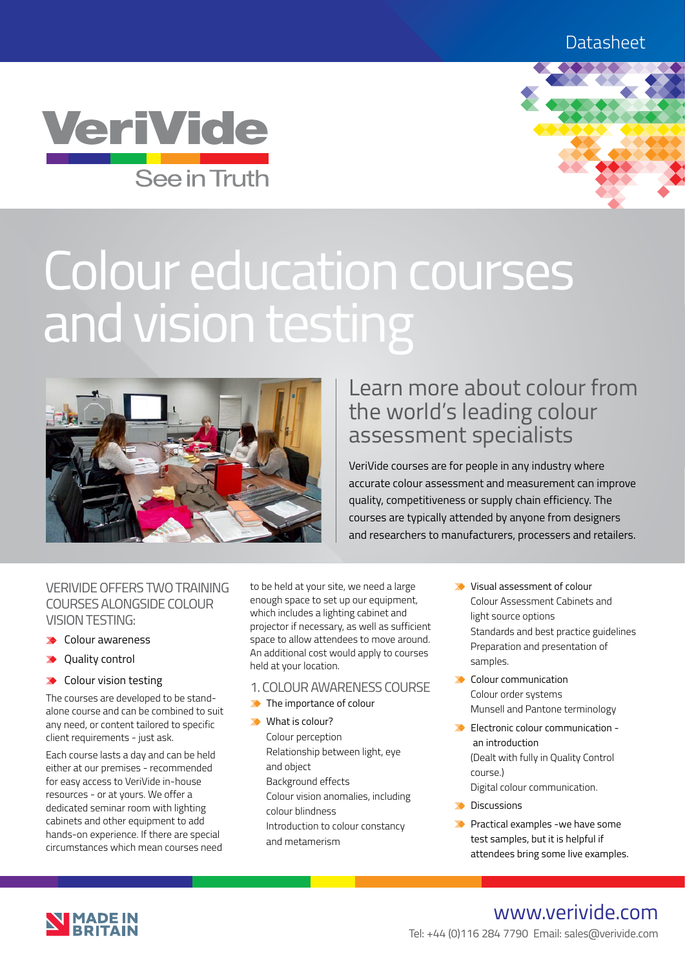



# Colour education courses and vision testing



# Learn more about colour from the world's leading colour assessment specialists

VeriVide courses are for people in any industry where accurate colour assessment and measurement can improve quality, competitiveness or supply chain efficiency. The courses are typically attended by anyone from designers and researchers to manufacturers, processers and retailers.

## VERIVIDE OFFERS TWO TRAINING COURSES ALONGSIDE COLOUR VISION TESTING:

- $\triangle$  Colour awareness
- ◆ Ouality control
- ◆ Colour vision testing

The courses are developed to be standalone course and can be combined to suit any need, or content tailored to specific client requirements - just ask.

Each course lasts a day and can be held either at our premises - recommended for easy access to VeriVide in-house resources - or at yours. We offer a dedicated seminar room with lighting cabinets and other equipment to add hands-on experience. If there are special circumstances which mean courses need to be held at your site, we need a large enough space to set up our equipment, which includes a lighting cabinet and projector if necessary, as well as sufficient space to allow attendees to move around. An additional cost would apply to courses held at your location.

- 1. COLOUR AWARENESS COURSE
- The importance of colour
- What is colour? Colour perception Relationship between light, eye and object Background effects Colour vision anomalies, including colour blindness Introduction to colour constancy and metamerism
- Visual assessment of colour Colour Assessment Cabinets and light source options Standards and best practice guidelines Preparation and presentation of samples.
- Colour communication Colour order systems Munsell and Pantone terminology
- Electronic colour communication an introduction (Dealt with fully in Quality Control course.)
	- Digital colour communication.
- **Discussions**
- **Practical examples -we have some** test samples, but it is helpful if attendees bring some live examples.



# www.verivide.com

Tel: +44 (0)116 284 7790 Email: sales@verivide.com